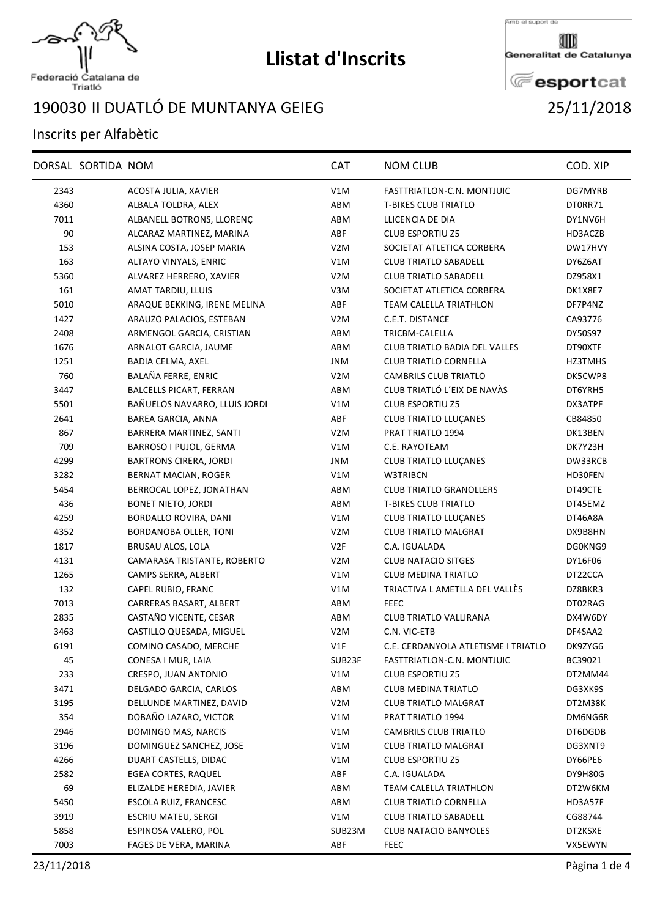

## **Llistat d'Inscrits**

Federació Catalana de<br>Triatló

## II DUATLÓ DE MUNTANYA GEIEG 25/11/2018

## Inscrits per Alfabètic

| DORSAL SORTIDA NOM                     | <b>CAT</b>       | <b>NOM CLUB</b>                      | COD. XIP |
|----------------------------------------|------------------|--------------------------------------|----------|
| 2343<br>ACOSTA JULIA, XAVIER           | V1M              | FASTTRIATLON-C.N. MONTJUIC           | DG7MYRB  |
| 4360<br>ALBALA TOLDRA, ALEX            | ABM              | <b>T-BIKES CLUB TRIATLO</b>          | DT0RR71  |
| 7011<br>ALBANELL BOTRONS, LLORENÇ      | ABM              | LLICENCIA DE DIA                     | DY1NV6H  |
| 90<br>ALCARAZ MARTINEZ, MARINA         | ABF              | <b>CLUB ESPORTIU Z5</b>              | HD3ACZB  |
| 153<br>ALSINA COSTA, JOSEP MARIA       | V <sub>2</sub> M | SOCIETAT ATLETICA CORBERA            | DW17HVY  |
| 163<br>ALTAYO VINYALS, ENRIC           | V1M              | <b>CLUB TRIATLO SABADELL</b>         | DY6Z6AT  |
| 5360<br>ALVAREZ HERRERO, XAVIER        | V2M              | <b>CLUB TRIATLO SABADELL</b>         | DZ958X1  |
| 161<br>AMAT TARDIU, LLUIS              | V3M              | SOCIETAT ATLETICA CORBERA            | DK1X8E7  |
| 5010<br>ARAQUE BEKKING, IRENE MELINA   | ABF              | <b>TEAM CALELLA TRIATHLON</b>        | DF7P4NZ  |
| 1427<br>ARAUZO PALACIOS, ESTEBAN       | V2M              | C.E.T. DISTANCE                      | CA93776  |
| 2408<br>ARMENGOL GARCIA, CRISTIAN      | ABM              | TRICBM-CALELLA                       | DY50S97  |
| 1676<br>ARNALOT GARCIA, JAUME          | ABM              | <b>CLUB TRIATLO BADIA DEL VALLES</b> | DT90XTF  |
| 1251<br>BADIA CELMA, AXEL              | JNM              | <b>CLUB TRIATLO CORNELLA</b>         | HZ3TMHS  |
| 760<br>BALAÑA FERRE, ENRIC             | V2M              | <b>CAMBRILS CLUB TRIATLO</b>         | DK5CWP8  |
| 3447<br><b>BALCELLS PICART, FERRAN</b> | ABM              | CLUB TRIATLÓ L'EIX DE NAVÀS          | DT6YRH5  |
| 5501<br>BAÑUELOS NAVARRO, LLUIS JORDI  | V1M              | <b>CLUB ESPORTIU Z5</b>              | DX3ATPF  |
| 2641<br><b>BAREA GARCIA, ANNA</b>      | ABF              | <b>CLUB TRIATLO LLUÇANES</b>         | CB84850  |
| 867<br>BARRERA MARTINEZ, SANTI         | V2M              | PRAT TRIATLO 1994                    | DK13BEN  |
| 709<br>BARROSO I PUJOL, GERMA          | V1M              | C.E. RAYOTEAM                        | DK7Y23H  |
| 4299<br>BARTRONS CIRERA, JORDI         | <b>JNM</b>       | CLUB TRIATLO LLUÇANES                | DW33RCB  |
| 3282<br>BERNAT MACIAN, ROGER           | V1M              | W3TRIBCN                             | HD30FEN  |
| 5454<br>BERROCAL LOPEZ, JONATHAN       | ABM              | <b>CLUB TRIATLO GRANOLLERS</b>       | DT49CTE  |
| 436<br><b>BONET NIETO, JORDI</b>       | ABM              | <b>T-BIKES CLUB TRIATLO</b>          | DT45EMZ  |
| 4259<br>BORDALLO ROVIRA, DANI          | V1M              | <b>CLUB TRIATLO LLUÇANES</b>         | DT46A8A  |
| 4352<br>BORDANOBA OLLER, TONI          | V <sub>2</sub> M | <b>CLUB TRIATLO MALGRAT</b>          | DX9B8HN  |
| 1817<br>BRUSAU ALOS, LOLA              | V2F              | C.A. IGUALADA                        | DG0KNG9  |
| 4131<br>CAMARASA TRISTANTE, ROBERTO    | V <sub>2</sub> M | <b>CLUB NATACIO SITGES</b>           | DY16F06  |
| 1265<br>CAMPS SERRA, ALBERT            | V1M              | <b>CLUB MEDINA TRIATLO</b>           | DT22CCA  |
| 132<br>CAPEL RUBIO, FRANC              | V1M              | TRIACTIVA L AMETLLA DEL VALLÉS       | DZ8BKR3  |
| 7013<br>CARRERAS BASART, ALBERT        | ABM              | <b>FEEC</b>                          | DT02RAG  |
| 2835<br>CASTAÑO VICENTE, CESAR         | ABM              | <b>CLUB TRIATLO VALLIRANA</b>        | DX4W6DY  |
| 3463<br>CASTILLO QUESADA, MIGUEL       | V <sub>2</sub> M | C.N. VIC-ETB                         | DF4SAA2  |
| 6191<br>COMINO CASADO, MERCHE          | V1F              | C.E. CERDANYOLA ATLETISME I TRIATLO  | DK9ZYG6  |
| 45<br>CONESA I MUR, LAIA               | SUB23F           | FASTTRIATLON-C.N. MONTJUIC           | BC39021  |
| 233<br>CRESPO, JUAN ANTONIO            | V1M              | <b>CLUB ESPORTIU Z5</b>              | DT2MM44  |
| 3471<br>DELGADO GARCIA, CARLOS         | ABM              | CLUB MEDINA TRIATLO                  | DG3XK9S  |
| 3195<br>DELLUNDE MARTINEZ, DAVID       | V <sub>2</sub> M | <b>CLUB TRIATLO MALGRAT</b>          | DT2M38K  |
| DOBAÑO LAZARO, VICTOR<br>354           | V1M              | PRAT TRIATLO 1994                    | DM6NG6R  |
| 2946<br>DOMINGO MAS, NARCIS            | V1M              | CAMBRILS CLUB TRIATLO                | DT6DGDB  |
| 3196<br>DOMINGUEZ SANCHEZ, JOSE        | V1M              | <b>CLUB TRIATLO MALGRAT</b>          | DG3XNT9  |
| 4266<br>DUART CASTELLS, DIDAC          | V1M              | <b>CLUB ESPORTIU Z5</b>              | DY66PE6  |
| 2582<br><b>EGEA CORTES, RAQUEL</b>     | ABF              | C.A. IGUALADA                        | DY9H80G  |
| 69<br>ELIZALDE HEREDIA, JAVIER         | ABM              | <b>TEAM CALELLA TRIATHLON</b>        | DT2W6KM  |
| 5450<br>ESCOLA RUIZ, FRANCESC          | ABM              | <b>CLUB TRIATLO CORNELLA</b>         | HD3A57F  |
| 3919<br>ESCRIU MATEU, SERGI            | V1M              | <b>CLUB TRIATLO SABADELL</b>         | CG88744  |
| 5858<br>ESPINOSA VALERO, POL           | SUB23M           | CLUB NATACIO BANYOLES                | DT2KSXE  |
| 7003<br>FAGES DE VERA, MARINA          | ABF              | <b>FEEC</b>                          | VX5EWYN  |



Generalitat de Catalunya

**E**esportcat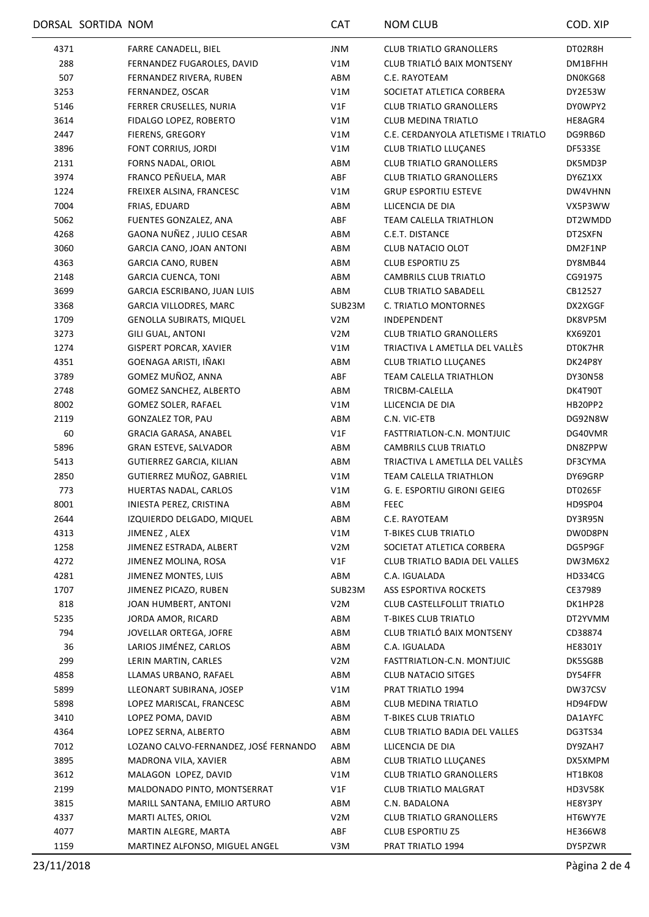|              | DORSAL SORTIDA NOM |                                               | <b>CAT</b>       | <b>NOM CLUB</b>                                            | COD. XIP           |
|--------------|--------------------|-----------------------------------------------|------------------|------------------------------------------------------------|--------------------|
| 4371         |                    | FARRE CANADELL, BIEL                          | JNM              | <b>CLUB TRIATLO GRANOLLERS</b>                             | DT02R8H            |
| 288          |                    | FERNANDEZ FUGAROLES, DAVID                    | V1M              | CLUB TRIATLÓ BAIX MONTSENY                                 | DM1BFHH            |
| 507          |                    | FERNANDEZ RIVERA, RUBEN                       | ABM              | C.E. RAYOTEAM                                              | DN0KG68            |
| 3253         |                    | FERNANDEZ, OSCAR                              | V1M              | SOCIETAT ATLETICA CORBERA                                  | DY2E53W            |
| 5146         |                    | FERRER CRUSELLES, NURIA                       | V1F              | <b>CLUB TRIATLO GRANOLLERS</b>                             | DY0WPY2            |
| 3614         |                    | FIDALGO LOPEZ, ROBERTO                        | V1M              | <b>CLUB MEDINA TRIATLO</b>                                 | HE8AGR4            |
| 2447         |                    | FIERENS, GREGORY                              | V1M              | C.E. CERDANYOLA ATLETISME I TRIATLO                        | DG9RB6D            |
| 3896         |                    | FONT CORRIUS, JORDI                           | V1M              | <b>CLUB TRIATLO LLUÇANES</b>                               | DF533SE            |
| 2131         |                    | FORNS NADAL, ORIOL                            | ABM              | <b>CLUB TRIATLO GRANOLLERS</b>                             | DK5MD3P            |
| 3974         |                    | FRANCO PEÑUELA, MAR                           | ABF              | <b>CLUB TRIATLO GRANOLLERS</b>                             | DY6Z1XX            |
| 1224         |                    | FREIXER ALSINA, FRANCESC                      | V1M              | <b>GRUP ESPORTIU ESTEVE</b>                                | DW4VHNN            |
| 7004         |                    | FRIAS, EDUARD                                 | ABM              | LLICENCIA DE DIA                                           | VX5P3WW            |
| 5062         |                    | FUENTES GONZALEZ, ANA                         | ABF              | TEAM CALELLA TRIATHLON                                     | DT2WMDD            |
| 4268         |                    | GAONA NUÑEZ, JULIO CESAR                      | ABM              | C.E.T. DISTANCE                                            | DT2SXFN            |
| 3060         |                    | GARCIA CANO, JOAN ANTONI                      | ABM              | <b>CLUB NATACIO OLOT</b>                                   | DM2F1NP            |
| 4363         |                    | <b>GARCIA CANO, RUBEN</b>                     | ABM              | <b>CLUB ESPORTIU Z5</b>                                    | DY8MB44            |
| 2148         |                    | <b>GARCIA CUENCA, TONI</b>                    | ABM              | CAMBRILS CLUB TRIATLO                                      | CG91975            |
| 3699         |                    | GARCIA ESCRIBANO, JUAN LUIS                   | ABM              | <b>CLUB TRIATLO SABADELL</b>                               | CB12527            |
| 3368         |                    | GARCIA VILLODRES, MARC                        | SUB23M           | C. TRIATLO MONTORNES                                       | DX2XGGF            |
| 1709         |                    | <b>GENOLLA SUBIRATS, MIQUEL</b>               | V <sub>2</sub> M | INDEPENDENT                                                | DK8VP5M            |
| 3273         |                    | GILI GUAL, ANTONI                             | V2M              | <b>CLUB TRIATLO GRANOLLERS</b>                             | KX69Z01            |
| 1274         |                    | <b>GISPERT PORCAR, XAVIER</b>                 | V1M              | TRIACTIVA L AMETLLA DEL VALLÉS                             | DT0K7HR            |
| 4351         |                    | GOENAGA ARISTI, IÑAKI                         | ABM              | <b>CLUB TRIATLO LLUÇANES</b>                               | DK24P8Y            |
| 3789         |                    | GOMEZ MUÑOZ, ANNA                             | ABF              | TEAM CALELLA TRIATHLON                                     | DY30N58            |
| 2748         |                    | GOMEZ SANCHEZ, ALBERTO                        | ABM              | TRICBM-CALELLA                                             | DK4T90T            |
| 8002         |                    | <b>GOMEZ SOLER, RAFAEL</b>                    | V1M              | LLICENCIA DE DIA                                           | HB20PP2            |
| 2119         |                    | <b>GONZALEZ TOR, PAU</b>                      | ABM              | C.N. VIC-ETB                                               | DG92N8W            |
| 60           |                    | GRACIA GARASA, ANABEL                         | V1F              | FASTTRIATLON-C.N. MONTJUIC                                 | DG40VMR            |
| 5896         |                    | <b>GRAN ESTEVE, SALVADOR</b>                  | ABM              | <b>CAMBRILS CLUB TRIATLO</b>                               | DN8ZPPW            |
| 5413         |                    | GUTIERREZ GARCIA, KILIAN                      | ABM              | TRIACTIVA L AMETLLA DEL VALLÉS                             | DF3CYMA            |
| 2850         |                    | GUTIERREZ MUÑOZ, GABRIEL                      | V1M              | TEAM CALELLA TRIATHLON                                     | DY69GRP            |
| 773          |                    | HUERTAS NADAL, CARLOS                         | V1M              | G. E. ESPORTIU GIRONI GEIEG                                | DT0265F            |
| 8001         |                    | INIESTA PEREZ, CRISTINA                       | ABM              | <b>FEEC</b>                                                | HD9SP04            |
| 2644         |                    | IZQUIERDO DELGADO, MIQUEL                     | ABM              | C.E. RAYOTEAM                                              | DY3R95N            |
| 4313         |                    | JIMENEZ, ALEX                                 | V1M              | <b>T-BIKES CLUB TRIATLO</b>                                | DW0D8PN            |
| 1258         |                    | JIMENEZ ESTRADA, ALBERT                       | V <sub>2</sub> M | SOCIETAT ATLETICA CORBERA                                  | DG5P9GF            |
| 4272         |                    | JIMENEZ MOLINA, ROSA                          | V1F              | <b>CLUB TRIATLO BADIA DEL VALLES</b>                       | DW3M6X2            |
|              |                    | JIMENEZ MONTES, LUIS                          |                  |                                                            |                    |
| 4281<br>1707 |                    |                                               | ABM<br>SUB23M    | C.A. IGUALADA                                              | HD334CG            |
|              |                    | JIMENEZ PICAZO, RUBEN<br>JOAN HUMBERT, ANTONI | V <sub>2</sub> M | ASS ESPORTIVA ROCKETS<br><b>CLUB CASTELLFOLLIT TRIATLO</b> | CE37989<br>DK1HP28 |
| 818          |                    |                                               |                  | <b>T-BIKES CLUB TRIATLO</b>                                |                    |
| 5235<br>794  |                    | JORDA AMOR, RICARD<br>JOVELLAR ORTEGA, JOFRE  | ABM<br>ABM       | CLUB TRIATLÓ BAIX MONTSENY                                 | DT2YVMM            |
| 36           |                    | LARIOS JIMÉNEZ, CARLOS                        |                  | C.A. IGUALADA                                              | CD38874            |
|              |                    |                                               | ABM              |                                                            | HE8301Y            |
| 299          |                    | LERIN MARTIN, CARLES                          | V <sub>2</sub> M | FASTTRIATLON-C.N. MONTJUIC                                 | DK5SG8B            |
| 4858         |                    | LLAMAS URBANO, RAFAEL                         | ABM              | CLUB NATACIO SITGES                                        | DY54FFR            |
| 5899         |                    | LLEONART SUBIRANA, JOSEP                      | V1M              | PRAT TRIATLO 1994                                          | DW37CSV            |
| 5898         |                    | LOPEZ MARISCAL, FRANCESC                      | ABM              | <b>CLUB MEDINA TRIATLO</b>                                 | HD94FDW            |
| 3410         |                    | LOPEZ POMA, DAVID                             | ABM              | <b>T-BIKES CLUB TRIATLO</b>                                | DA1AYFC            |
| 4364         |                    | LOPEZ SERNA, ALBERTO                          | ABM              | CLUB TRIATLO BADIA DEL VALLES                              | DG3TS34            |
| 7012         |                    | LOZANO CALVO-FERNANDEZ, JOSÉ FERNANDO         | ABM              | LLICENCIA DE DIA                                           | DY9ZAH7            |
| 3895         |                    | MADRONA VILA, XAVIER                          | ABM              | <b>CLUB TRIATLO LLUÇANES</b>                               | DX5XMPM            |
| 3612         |                    | MALAGON LOPEZ, DAVID                          | V1M              | <b>CLUB TRIATLO GRANOLLERS</b>                             | HT1BK08            |
| 2199         |                    | MALDONADO PINTO, MONTSERRAT                   | V1F              | <b>CLUB TRIATLO MALGRAT</b>                                | HD3V58K            |
| 3815         |                    | MARILL SANTANA, EMILIO ARTURO                 | ABM              | C.N. BADALONA                                              | HE8Y3PY            |
| 4337         |                    | MARTI ALTES, ORIOL                            | V2M              | <b>CLUB TRIATLO GRANOLLERS</b>                             | HT6WY7E            |
| 4077         |                    | MARTIN ALEGRE, MARTA                          | ABF              | CLUB ESPORTIU Z5                                           | HE366W8            |
| 1159         |                    | MARTINEZ ALFONSO, MIGUEL ANGEL                | V3M              | PRAT TRIATLO 1994                                          | DY5PZWR            |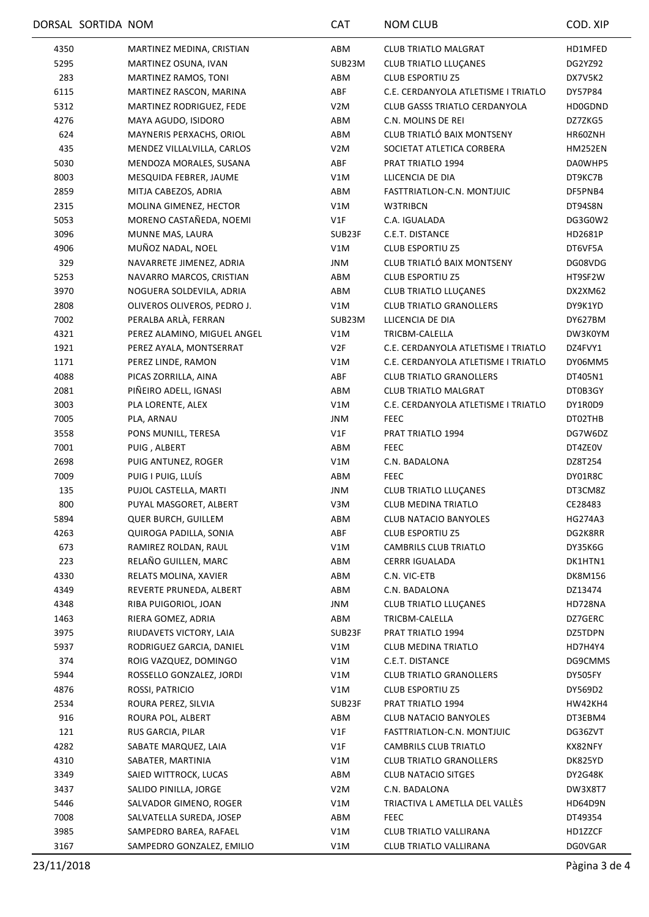|      | DORSAL SORTIDA NOM |                             | <b>CAT</b>       | <b>NOM CLUB</b>                      | COD. XIP       |
|------|--------------------|-----------------------------|------------------|--------------------------------------|----------------|
| 4350 |                    | MARTINEZ MEDINA, CRISTIAN   | ABM              | <b>CLUB TRIATLO MALGRAT</b>          | HD1MFED        |
| 5295 |                    | MARTINEZ OSUNA, IVAN        | SUB23M           | <b>CLUB TRIATLO LLUÇANES</b>         | DG2YZ92        |
| 283  |                    | MARTINEZ RAMOS, TONI        | ABM              | <b>CLUB ESPORTIU Z5</b>              | DX7V5K2        |
| 6115 |                    | MARTINEZ RASCON, MARINA     | ABF              | C.E. CERDANYOLA ATLETISME I TRIATLO  | DY57P84        |
| 5312 |                    | MARTINEZ RODRIGUEZ, FEDE    | V2M              | <b>CLUB GASSS TRIATLO CERDANYOLA</b> | <b>HD0GDND</b> |
| 4276 |                    | MAYA AGUDO, ISIDORO         | ABM              | C.N. MOLINS DE REI                   | DZ7ZKG5        |
| 624  |                    | MAYNERIS PERXACHS, ORIOL    | ABM              | CLUB TRIATLÓ BAIX MONTSENY           | HR60ZNH        |
| 435  |                    | MENDEZ VILLALVILLA, CARLOS  | V <sub>2</sub> M | SOCIETAT ATLETICA CORBERA            | <b>HM252EN</b> |
| 5030 |                    | MENDOZA MORALES, SUSANA     | ABF              | PRAT TRIATLO 1994                    | DA0WHP5        |
| 8003 |                    | MESQUIDA FEBRER, JAUME      | V1M              | LLICENCIA DE DIA                     | DT9KC7B        |
| 2859 |                    | MITJA CABEZOS, ADRIA        | ABM              | FASTTRIATLON-C.N. MONTJUIC           | DF5PNB4        |
| 2315 |                    | MOLINA GIMENEZ, HECTOR      | V1M              | W3TRIBCN                             | DT94S8N        |
| 5053 |                    | MORENO CASTAÑEDA, NOEMI     | V1F              | C.A. IGUALADA                        | DG3G0W2        |
| 3096 |                    | MUNNE MAS, LAURA            | SUB23F           | C.E.T. DISTANCE                      | HD2681P        |
| 4906 |                    | MUÑOZ NADAL, NOEL           | V1M              | <b>CLUB ESPORTIU Z5</b>              | DT6VF5A        |
| 329  |                    | NAVARRETE JIMENEZ, ADRIA    | JNM              | CLUB TRIATLÓ BAIX MONTSENY           | DG08VDG        |
| 5253 |                    | NAVARRO MARCOS, CRISTIAN    | ABM              | <b>CLUB ESPORTIU Z5</b>              | HT9SF2W        |
| 3970 |                    | NOGUERA SOLDEVILA, ADRIA    | ABM              | <b>CLUB TRIATLO LLUÇANES</b>         | DX2XM62        |
| 2808 |                    | OLIVEROS OLIVEROS, PEDRO J. | V1M              | <b>CLUB TRIATLO GRANOLLERS</b>       | DY9K1YD        |
| 7002 |                    | PERALBA ARLÀ, FERRAN        | SUB23M           | LLICENCIA DE DIA                     | DY627BM        |
| 4321 |                    | PEREZ ALAMINO, MIGUEL ANGEL | V1M              | TRICBM-CALELLA                       | DW3K0YM        |
| 1921 |                    | PEREZ AYALA, MONTSERRAT     | V2F              | C.E. CERDANYOLA ATLETISME I TRIATLO  | DZ4FVY1        |
| 1171 |                    | PEREZ LINDE, RAMON          | V1M              | C.E. CERDANYOLA ATLETISME I TRIATLO  | DY06MM5        |
| 4088 |                    | PICAS ZORRILLA, AINA        | ABF              | <b>CLUB TRIATLO GRANOLLERS</b>       | DT405N1        |
| 2081 |                    | PIÑEIRO ADELL, IGNASI       | ABM              | <b>CLUB TRIATLO MALGRAT</b>          | DT0B3GY        |
| 3003 |                    | PLA LORENTE, ALEX           | V1M              | C.E. CERDANYOLA ATLETISME I TRIATLO  | DY1R0D9        |
| 7005 |                    | PLA, ARNAU                  | JNM              | <b>FEEC</b>                          | DT02THB        |
| 3558 |                    | PONS MUNILL, TERESA         | V1F              | PRAT TRIATLO 1994                    | DG7W6DZ        |
| 7001 |                    | PUIG, ALBERT                | ABM              | <b>FEEC</b>                          | DT4ZE0V        |
| 2698 |                    | PUIG ANTUNEZ, ROGER         | V1M              | C.N. BADALONA                        | DZ8T254        |
| 7009 |                    | PUIG I PUIG, LLUÍS          | ABM              | <b>FEEC</b>                          | DY01R8C        |
| 135  |                    | PUJOL CASTELLA, MARTI       | <b>JNM</b>       | <b>CLUB TRIATLO LLUÇANES</b>         | DT3CM8Z        |
| 800  |                    | PUYAL MASGORET, ALBERT      | V3M              | <b>CLUB MEDINA TRIATLO</b>           | CE28483        |
| 5894 |                    | <b>QUER BURCH, GUILLEM</b>  | ABM              | <b>CLUB NATACIO BANYOLES</b>         | HG274A3        |
| 4263 |                    | QUIROGA PADILLA, SONIA      | ABF              | <b>CLUB ESPORTIU Z5</b>              | DG2K8RR        |
| 673  |                    | RAMIREZ ROLDAN, RAUL        | V1M              | CAMBRILS CLUB TRIATLO                | DY35K6G        |
| 223  |                    | RELAÑO GUILLEN, MARC        | ABM              | <b>CERRR IGUALADA</b>                | DK1HTN1        |
| 4330 |                    | RELATS MOLINA, XAVIER       | ABM              | C.N. VIC-ETB                         | DK8M156        |
| 4349 |                    | REVERTE PRUNEDA, ALBERT     | ABM              | C.N. BADALONA                        | DZ13474        |
| 4348 |                    | RIBA PUIGORIOL, JOAN        | JNM              | <b>CLUB TRIATLO LLUCANES</b>         | HD728NA        |
| 1463 |                    | RIERA GOMEZ, ADRIA          | ABM              | TRICBM-CALELLA                       | DZ7GERC        |
| 3975 |                    | RIUDAVETS VICTORY, LAIA     | SUB23F           | PRAT TRIATLO 1994                    | DZ5TDPN        |
| 5937 |                    | RODRIGUEZ GARCIA, DANIEL    | V1M              | <b>CLUB MEDINA TRIATLO</b>           | HD7H4Y4        |
| 374  |                    | ROIG VAZQUEZ, DOMINGO       | V1M              | C.E.T. DISTANCE                      | DG9CMMS        |
| 5944 |                    | ROSSELLO GONZALEZ, JORDI    | V1M              | <b>CLUB TRIATLO GRANOLLERS</b>       | DY505FY        |
| 4876 |                    | ROSSI, PATRICIO             | V1M              | <b>CLUB ESPORTIU Z5</b>              | DY569D2        |
| 2534 |                    | ROURA PEREZ, SILVIA         | SUB23F           | PRAT TRIATLO 1994                    | HW42KH4        |
| 916  |                    | ROURA POL, ALBERT           | ABM              | <b>CLUB NATACIO BANYOLES</b>         | DT3EBM4        |
| 121  |                    | RUS GARCIA, PILAR           | V1F              | FASTTRIATLON-C.N. MONTJUIC           | DG36ZVT        |
| 4282 |                    | SABATE MARQUEZ, LAIA        | V1F              | CAMBRILS CLUB TRIATLO                | KX82NFY        |
| 4310 |                    | SABATER, MARTINIA           | V1M              | <b>CLUB TRIATLO GRANOLLERS</b>       | DK825YD        |
| 3349 |                    | SAIED WITTROCK, LUCAS       | ABM              | <b>CLUB NATACIO SITGES</b>           | DY2G48K        |
| 3437 |                    | SALIDO PINILLA, JORGE       | V <sub>2</sub> M | C.N. BADALONA                        | DW3X8T7        |
| 5446 |                    | SALVADOR GIMENO, ROGER      | V1M              | TRIACTIVA L AMETLLA DEL VALLÈS       | HD64D9N        |
| 7008 |                    | SALVATELLA SUREDA, JOSEP    | ABM              | <b>FEEC</b>                          | DT49354        |
| 3985 |                    | SAMPEDRO BAREA, RAFAEL      | V1M              | CLUB TRIATLO VALLIRANA               | HD1ZZCF        |
| 3167 |                    | SAMPEDRO GONZALEZ, EMILIO   | V1M              | CLUB TRIATLO VALLIRANA               | <b>DG0VGAR</b> |